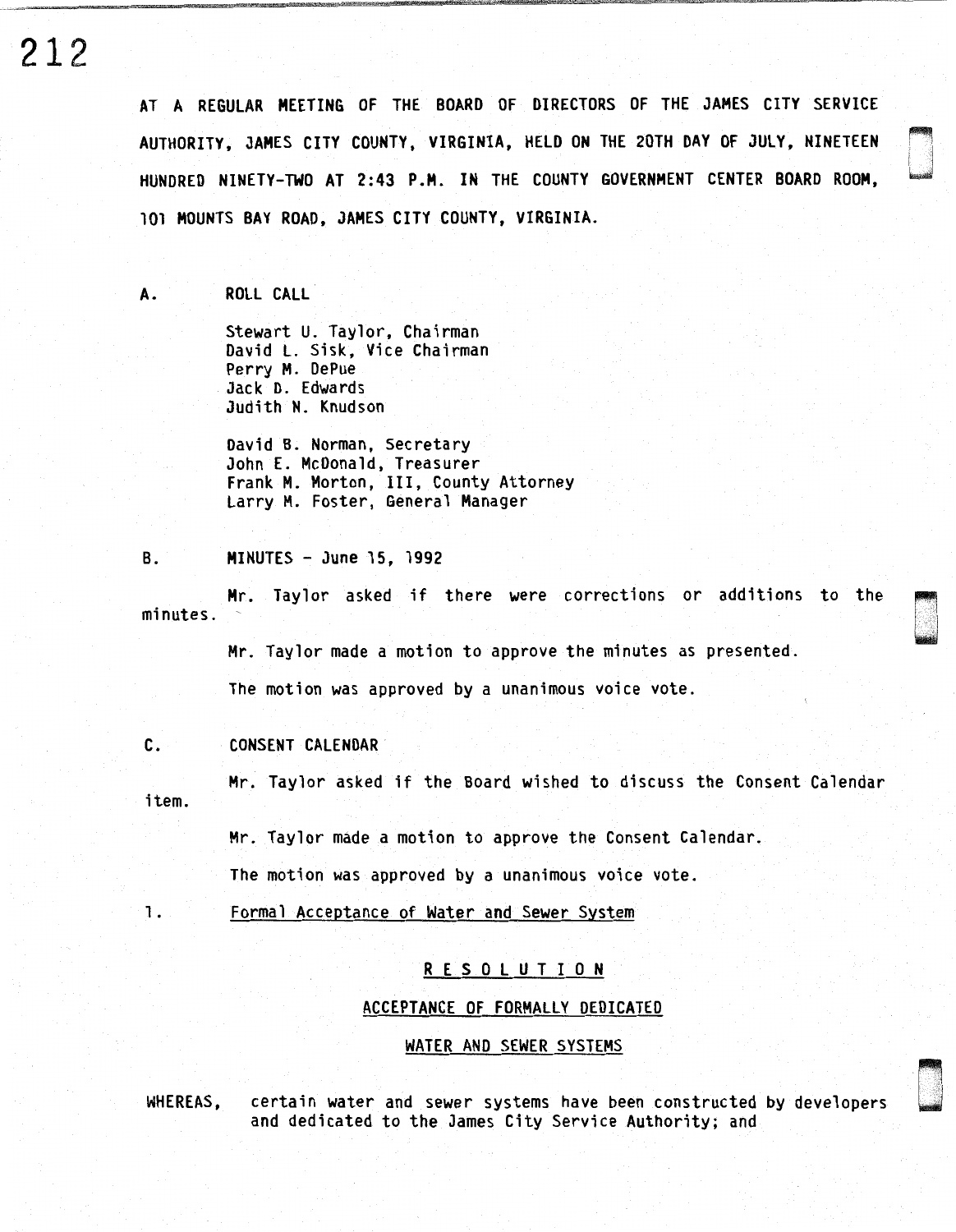AT A REGULAR MEETING OF THE BOARD OF DIRECTORS OF THE JAMES CITY SERVICE AUTHORITY, JAMES CITY COUNTY, VIRGINIA, HELD ON THE 20TH DAY OF JULY, NINETEEN HUNDRED NINETY-TWO AT 2:43 P.M. IN THE COUNTY GOVERNMENT CENTER BOARD ROOM, 101 MOUNTS BAY ROAD, JAMES CITY COUNTY, VIRGINIA.

n<br>N<br>En un

Danis<br>Danis<br>Danis

A. ROLL CALL

Stewart U. Taylor, Chairman David L. Sisk, Vice Chairman Perry M. DePue Jack D. Edwards Judith N. Knudson

David B. Norman, Secretary John E. McDonald, Treasurer Frank M. Morton, III, County Attorney Larry M. Foster, General Manager

B. MINUTES - June 15, 1992

Mr. Taylor asked if there were corrections or additions to the minutes.

Mr. Taylor made a motion to approve the minutes as presented.

The motion was approved by a unanimous voice vote.

C. CONSENT CALENDAR

Mr. Taylor asked if the Board wished to discuss the Consent Calendar item.

Mr. Taylor made a motion to approve the Consent Calendar.

The motion was approved by a unanimous voice vote.

1. Formal Acceptance of Water and Sewer System

# R E S 0 L U T I 0 N

# ACCEPTANCE OF FORMALLY DEDICATED

### WATER AND SEWER SYSTEMS

WHEREAS, certain water and sewer systems have been constructed by developers and dedicated to the James City Service Authority; and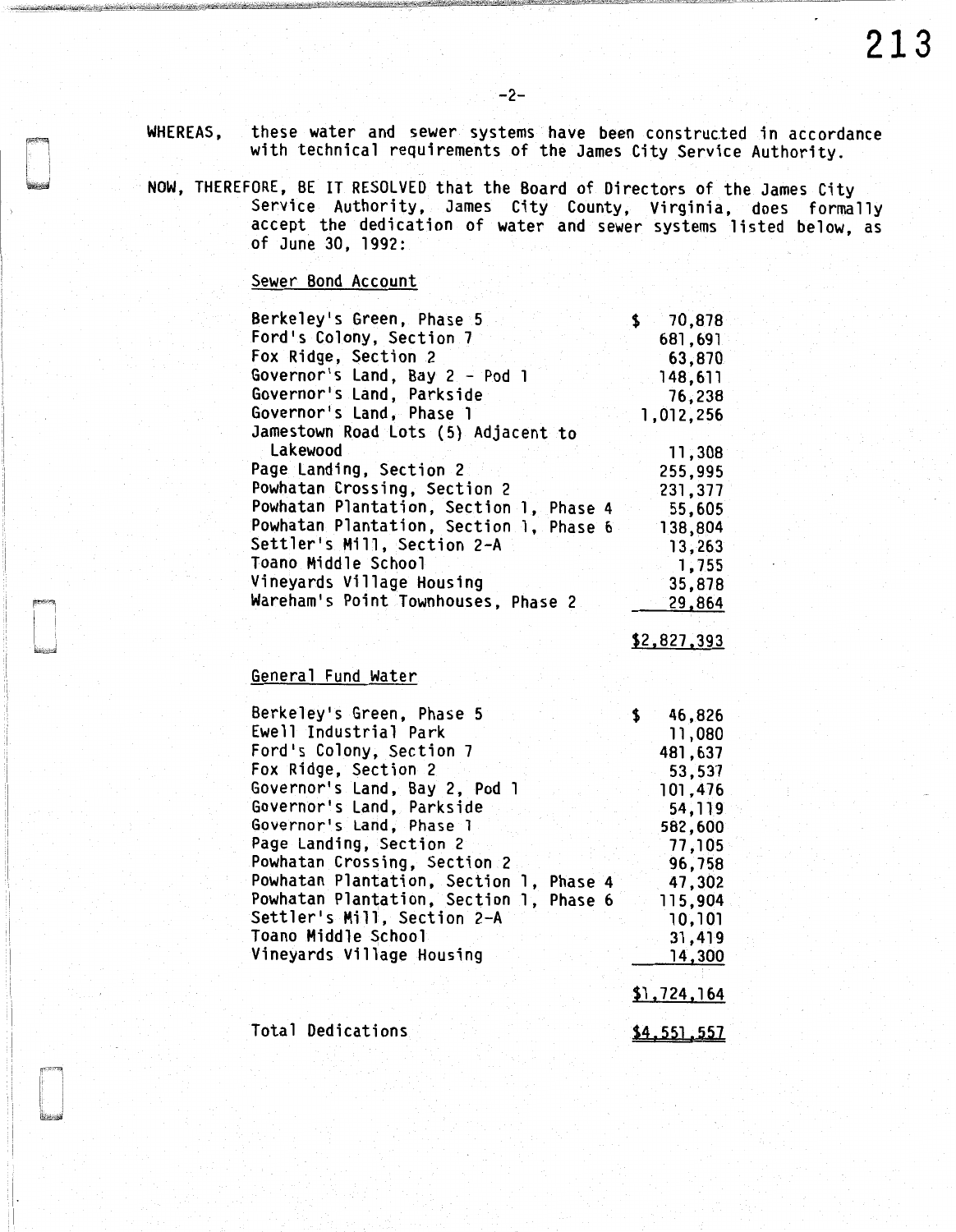WHEREAS, these water and sewer systems have been constructed in accordance with technical requirements of the James City Service Authority.

-2-

NOW, THEREFORE, BE IT RESOLVED that the Board of Directors of the James City Service Authority, James City County, Virginia, does formally accept the dedication of water and sewer systems listed below, as of June 30, 1992:

Sewer Bond Account

| Berkeley's Green, Phase 5               | 70,878    |
|-----------------------------------------|-----------|
| Ford's Colony, Section 7                | 681,691   |
| Fox Ridge, Section 2                    | 63,870    |
| Governor's Land, Bay 2 - Pod 1          | 148,611   |
| Governor's Land, Parkside               | 76,238    |
| Governor's Land, Phase 1                | 1,012,256 |
| Jamestown Road Lots (5) Adjacent to     |           |
| Lakewood                                | 11,308    |
| Page Landing, Section 2                 | 255,995   |
| Powhatan Crossing, Section 2            | 231,377   |
| Powhatan Plantation, Section 1, Phase 4 | 55,605    |
| Powhatan Plantation, Section 1, Phase 6 | 138,804   |
| Settler's Mill, Section 2-A             | 13,263    |
| Toano Middle School                     | 1,755     |
| Vineyards Village Housing               | 35,878    |
| Wareham's Point Townhouses, Phase 2     | 29,864    |

\$2,827,393

# General Fund Water

| Berkeley's Green, Phase 5               | 46,826<br>S |
|-----------------------------------------|-------------|
| Ewell Industrial Park                   | 11,080      |
| Ford's Colony, Section 7                | 481,637     |
| Fox Ridge, Section 2                    | 53,537      |
| Governor's Land, Bay 2, Pod 1           | 101,476     |
| Governor's Land, Parkside               | 54,119      |
| Governor's Land, Phase 1                | 582,600     |
| Page Landing, Section 2                 | 77,105      |
| Powhatan Crossing, Section 2            | 96,758      |
| Powhatan Plantation, Section 1, Phase 4 | 47,302      |
| Powhatan Plantation, Section 1, Phase 6 | 115,904     |
| Settler's Mill, Section 2-A             | 10,101      |
| Toano Middle School                     | 31,419      |
| Vineyards Village Housing               | 14,300      |
|                                         |             |
|                                         | \$1,724,164 |
|                                         |             |
| Total Dedications                       | \$4.551.557 |